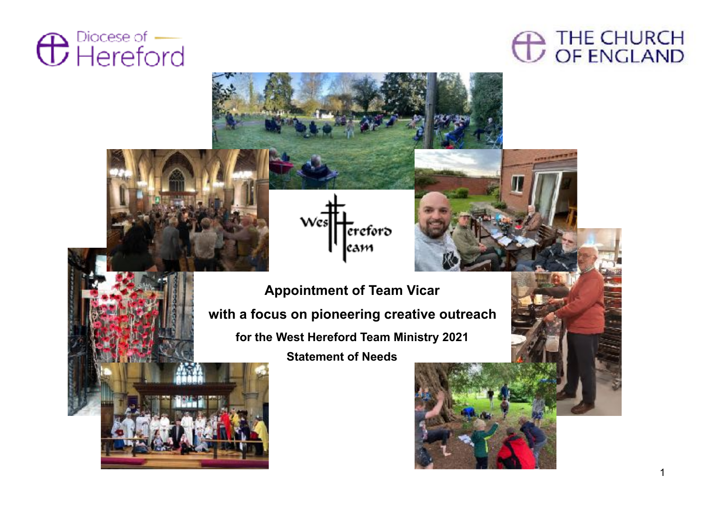

# **CO THE CHURCH**





**Appointment of Team Vicar with a focus on pioneering creative outreach for the West Hereford Team Ministry 2021 Statement of Needs**

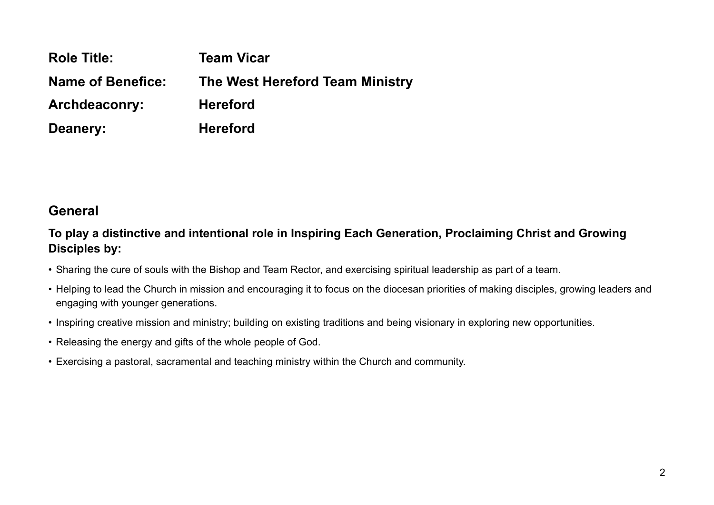| <b>Role Title:</b>       | <b>Team Vicar</b>               |
|--------------------------|---------------------------------|
| <b>Name of Benefice:</b> | The West Hereford Team Ministry |
| <b>Archdeaconry:</b>     | <b>Hereford</b>                 |
| Deanery:                 | <b>Hereford</b>                 |

# **General**

#### **To play a distinctive and intentional role in Inspiring Each Generation, Proclaiming Christ and Growing Disciples by:**

- Sharing the cure of souls with the Bishop and Team Rector, and exercising spiritual leadership as part of a team.
- Helping to lead the Church in mission and encouraging it to focus on the diocesan priorities of making disciples, growing leaders and engaging with younger generations.
- Inspiring creative mission and ministry; building on existing traditions and being visionary in exploring new opportunities.
- Releasing the energy and gifts of the whole people of God.
- Exercising a pastoral, sacramental and teaching ministry within the Church and community.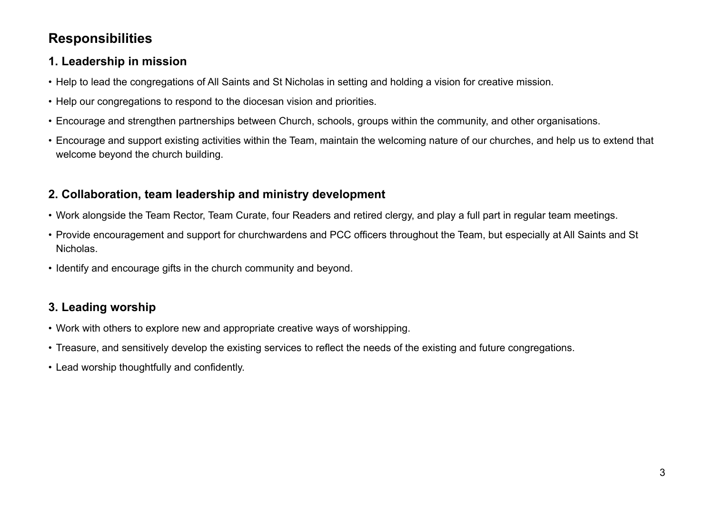# **Responsibilities**

# **1. Leadership in mission**

- Help to lead the congregations of All Saints and St Nicholas in setting and holding a vision for creative mission.
- Help our congregations to respond to the diocesan vision and priorities.
- Encourage and strengthen partnerships between Church, schools, groups within the community, and other organisations.
- Encourage and support existing activities within the Team, maintain the welcoming nature of our churches, and help us to extend that welcome beyond the church building.

# **2. Collaboration, team leadership and ministry development**

- Work alongside the Team Rector, Team Curate, four Readers and retired clergy, and play a full part in regular team meetings.
- Provide encouragement and support for churchwardens and PCC officers throughout the Team, but especially at All Saints and St Nicholas.
- Identify and encourage gifts in the church community and beyond.

# **3. Leading worship**

- Work with others to explore new and appropriate creative ways of worshipping.
- Treasure, and sensitively develop the existing services to reflect the needs of the existing and future congregations.
- Lead worship thoughtfully and confidently.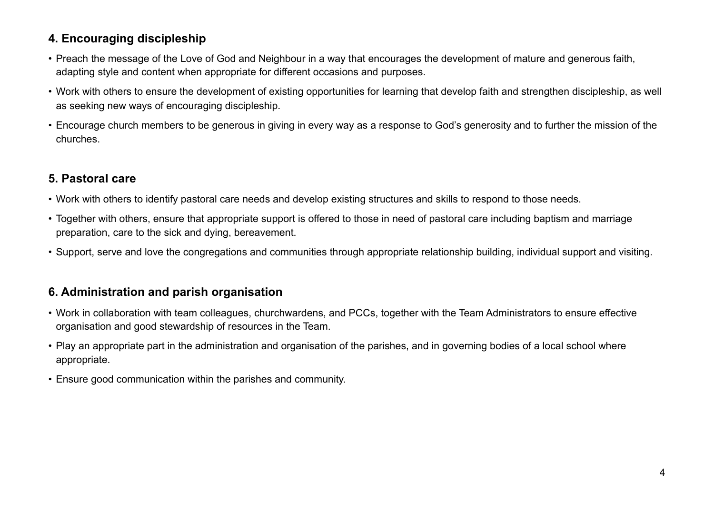## **4. Encouraging discipleship**

- Preach the message of the Love of God and Neighbour in a way that encourages the development of mature and generous faith, adapting style and content when appropriate for different occasions and purposes.
- Work with others to ensure the development of existing opportunities for learning that develop faith and strengthen discipleship, as well as seeking new ways of encouraging discipleship.
- Encourage church members to be generous in giving in every way as a response to God's generosity and to further the mission of the churches.

# **5. Pastoral care**

- Work with others to identify pastoral care needs and develop existing structures and skills to respond to those needs.
- Together with others, ensure that appropriate support is offered to those in need of pastoral care including baptism and marriage preparation, care to the sick and dying, bereavement.
- Support, serve and love the congregations and communities through appropriate relationship building, individual support and visiting.

# **6. Administration and parish organisation**

- Work in collaboration with team colleagues, churchwardens, and PCCs, together with the Team Administrators to ensure effective organisation and good stewardship of resources in the Team.
- Play an appropriate part in the administration and organisation of the parishes, and in governing bodies of a local school where appropriate.
- Ensure good communication within the parishes and community.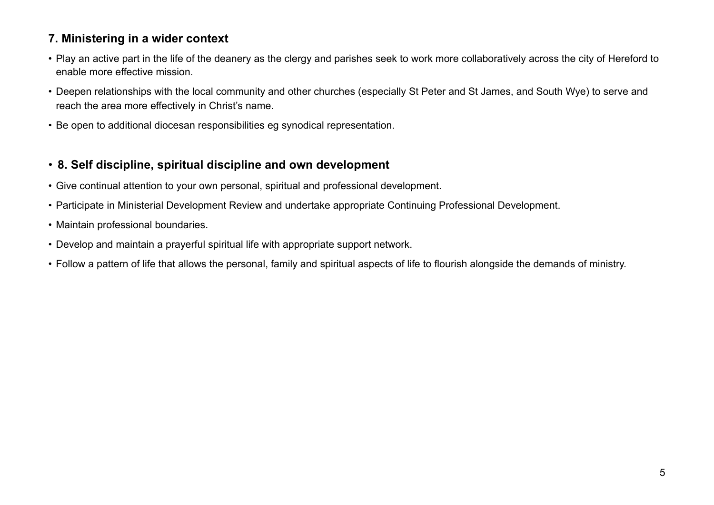#### **7. Ministering in a wider context**

- Play an active part in the life of the deanery as the clergy and parishes seek to work more collaboratively across the city of Hereford to enable more effective mission.
- Deepen relationships with the local community and other churches (especially St Peter and St James, and South Wye) to serve and reach the area more effectively in Christ's name.
- Be open to additional diocesan responsibilities eg synodical representation.

## • **8. Self discipline, spiritual discipline and own development**

- Give continual attention to your own personal, spiritual and professional development.
- Participate in Ministerial Development Review and undertake appropriate Continuing Professional Development.
- Maintain professional boundaries.
- Develop and maintain a prayerful spiritual life with appropriate support network.
- Follow a pattern of life that allows the personal, family and spiritual aspects of life to flourish alongside the demands of ministry.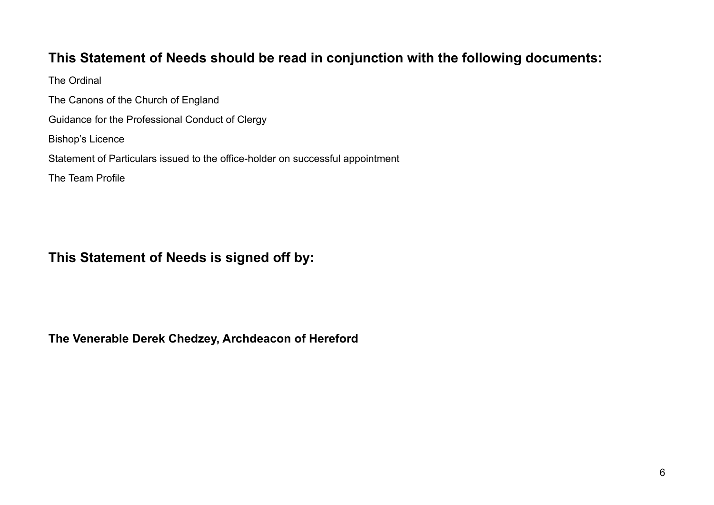# **This Statement of Needs should be read in conjunction with the following documents:**

The Ordinal The Canons of the Church of England Guidance for the Professional Conduct of Clergy Bishop's Licence Statement of Particulars issued to the office-holder on successful appointment The Team Profile

# **This Statement of Needs is signed off by:**

**The Venerable Derek Chedzey, Archdeacon of Hereford**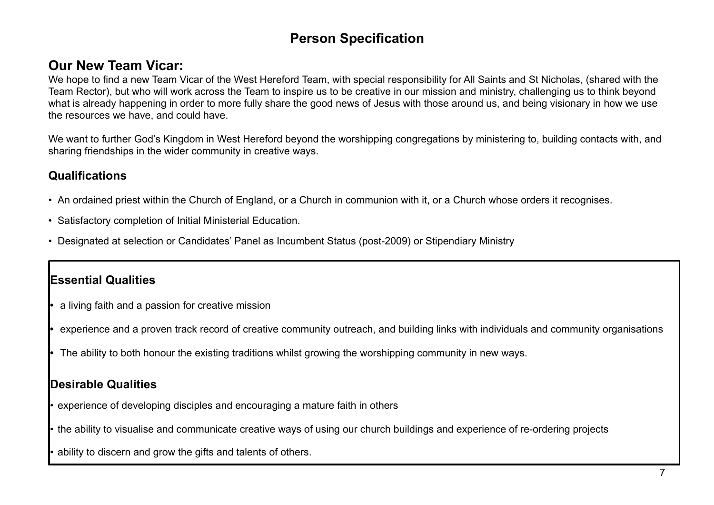# **Person Specification**

# **Our New Team Vicar:**

We hope to find a new Team Vicar of the West Hereford Team, with special responsibility for All Saints and St Nicholas, (shared with the Team Rector), but who will work across the Team to inspire us to be creative in our mission and ministry, challenging us to think beyond what is already happening in order to more fully share the good news of Jesus with those around us, and being visionary in how we use the resources we have, and could have.

We want to further God's Kingdom in West Hereford beyond the worshipping congregations by ministering to, building contacts with, and sharing friendships in the wider community in creative ways.

## **Qualifications**

- An ordained priest within the Church of England, or a Church in communion with it, or a Church whose orders it recognises.
- Satisfactory completion of Initial Ministerial Education.
- Designated at selection or Candidates' Panel as Incumbent Status (post-2009) or Stipendiary Ministry

## **Essential Qualities**

- **•** a living faith and a passion for creative mission
- **•** experience and a proven track record of creative community outreach, and building links with individuals and community organisations
- **•** The ability to both honour the existing traditions whilst growing the worshipping community in new ways.

## **Desirable Qualities**

- experience of developing disciples and encouraging a mature faith in others
- the ability to visualise and communicate creative ways of using our church buildings and experience of re-ordering projects
- ability to discern and grow the gifts and talents of others.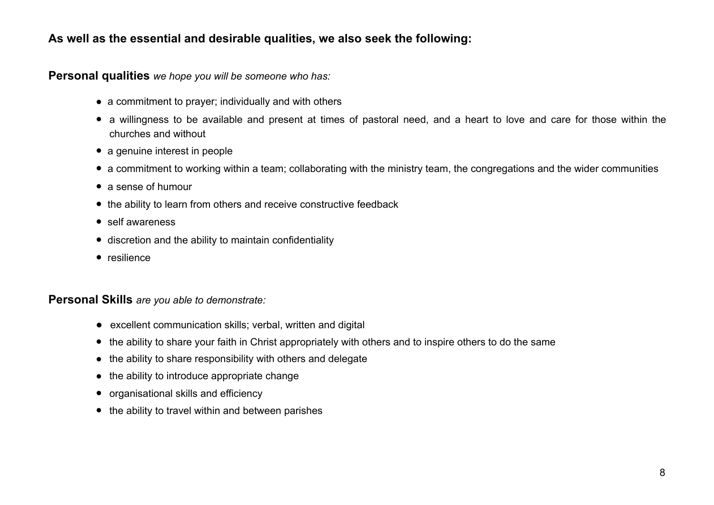#### **As well as the essential and desirable qualities, we also seek the following:**

**Personal qualities** *we hope you will be someone who has:*

- a commitment to prayer; individually and with others
- a willingness to be available and present at times of pastoral need, and a heart to love and care for those within the churches and without
- a genuine interest in people
- a commitment to working within a team; collaborating with the ministry team, the congregations and the wider communities
- a sense of humour
- the ability to learn from others and receive constructive feedback
- self awareness
- discretion and the ability to maintain confidentiality
- resilience

#### **Personal Skills** *are you able to demonstrate:*

- excellent communication skills; verbal, written and digital
- the ability to share your faith in Christ appropriately with others and to inspire others to do the same
- the ability to share responsibility with others and delegate
- the ability to introduce appropriate change
- organisational skills and efficiency
- the ability to travel within and between parishes